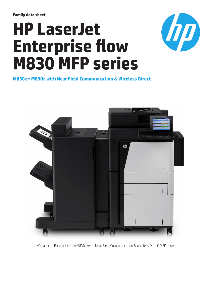**Family data sheet**

# **HP LaserJet Enterprise flow M830 MFP series**



**M830z • M830z with Near Field Communication & Wireless Direct**



HP LaserJet Enterprise flow M830z (with Near Field Communication & Wireless Direct) MFP shown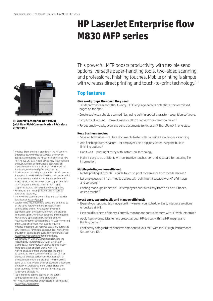## **HP LaserJet Enterprise flow M830 MFP series**



**HP LaserJet Enterprise flow M830z (with Near Field Communication & Wireless Direct) MFP** 

- <sup>1</sup> Wireless direct printing is standard in the HP LaserJet Enterprise flow MFP M830z D7P68A, and may be added as an option to the HP LaserJet Enterprise flow MFP M830z CF367A. Mobile device may require an app or driver. Wireless performance is dependent on physical environment and distance from the printer. For details, see [hp.com/go/wirelessprinting](http://hp.com/go/wirelessprinting)
- <sup>2</sup> Touch-to-print capability is standard in the HP LaserJet Enterprise flow MFP M830z D7P68A, and may be added as an option to the HP LaserJet Enterprise flow MFP M830z CF367A. Mobile device must support near field communications-enabled printing. For a list of
- supported devices, see [hp.com/go/mobileprinting](http://hp.com/go/mobileprinting) <sup>3</sup> HP Imaging and Printing Security Center must be purchased separately.
- <sup>4</sup> The HP Universal Print Driver is free and available for download at [hp.com/go/upd](http://hp.com/go/upd)
- <sup>5</sup> Local printing requires mobile device and printer to be on the same network or have a direct wireless connection to printer. Wireless performance is dependent upon physical environment and distance from access point. Wireless operations are compatible with 2.4 GHz operations only. Remote printing requires an internet connection to a HP Web-connected printer. App or software may also be required. Wireless broadband use requires separately purchased service contract for mobile devices. Check with service provider for coverage and availability in your area. See [hp.com/go/mobileprinting](http://hp.com/go/mobileprinting) for more details.
- <sup>6</sup> Supports OS X® Lion, OS X Mountain Lion, and the following devices running iOS 4.2 or later: iPad® (all models), iPhone® (3GS or later), and iPod touch® (third generation or later). Works with HP's AirPrint-enabled printers and requires the printer be connected to the same network as your OS X or iOS device. Wireless performance is dependent on physical environment and distance from the access point. OS X, iPad, iPhone, and iPod touch are trademarks of Apple® Inc., registered in the United States and other countries. AirPrint™ and the AirPrint logo are trademarks of Apple Inc.
- <sup>7</sup> Paper-handling options depend on the output configuration selected at time of purchase.
- 8 HP Web Jetadmin is free and available for download at [hp.com/go/webjetadmin](http://hp.com/go/webjetadmin)

This powerful MFP boosts productivity with flexible send options, versatile paper-handling tools, two-sided scanning, and professional finishing touches. Mobile printing is simple with wireless direct printing and touch-to-print technology.<sup>1, 2</sup>

## **Top features**

#### **Give workgroups the speed they need**

- Let departments scan without worry. HP EveryPage detects potential errors or missed pages on the spot.
- Create easily searchable scanned files, using built-in optical character recognition software.
- Simplicity all around—make it easy for all to print with one common driver.<sup>4</sup>
- Forget email—easily scan and send documents to Microsoft® SharePoint® in one step.

#### **Keep business moving**

- Save on both sides—capture documents faster with two-sided, single-pass scanning.
- Add finishing touches faster—let employees bind big jobs faster using the built-in finishing options.<sup>7</sup>
- Don't wait—print right away with Instant-on Technology.
- Make it easy to be efficient, with an intuitive touchscreen and keyboard for entering file information.

#### **Mobile printing—more efficient**

- Mobile printing at a touch—enable touch-to-print convenience from mobile devices.<sup>2</sup>
- Let employees print from mobile devices with built-in print capability or HP ePrint app and software.<sup>5</sup>
- Printing made Apple® simple—let employees print wirelessly from an iPad®, iPhone®, or iPod touch®.<sup>6</sup>

#### **Invest once, expand easily and manage efficiently**

- Expand your options. Easily upgrade firmware on your schedule. Easily integrate solutions or devices at will.
- Help build business efficiency. Centrally monitor and control printers with HP Web Jetadmin.8
- Apply fleet-wide policies to help protect all your HP devices with the HP Imaging and Printing Center.3
- Confidently safeguard the sensitive data sent to your MFP with the HP High-Performance Secure Hard Disk.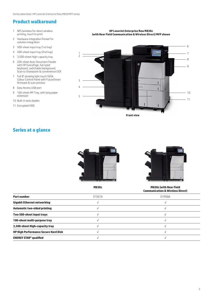## **Product walkaround**

- 1 NFC/wireless for direct wireless printing, touch to print
- 2 Hardware integration Pocket for solution integration
- 3 500-sheet input tray (1st tray)
- 4 500-sheet input tray (2nd tray)
- 5 3,500-sheet High-capacity tray
- 6 200-sheet Auto Document Feeder with HP EveryPage, full sized keyboard, switchable background, Scan to Sharepoint & convenience OCR
- 7 Full 8" pivoting light touch SVGA Colour Control Panel with FutureSmart firmware & scan preview
- 8 Easy Access USB port
- 9 100-sheet MP Tray, with long paper extension
- 10 Built-in auto duplex
- 11 Encrypted HDD



**HP LaserJet Enterprise flow M830z (with Near Field Communication & Wireless Direct) MFP shown**

**Front view**

## **Series at a glance**





**M830z M830z (with Near Field Communication & Wireless Direct)**

| <b>Part number</b>                          | CF367A | D7P68A |
|---------------------------------------------|--------|--------|
| <b>Gigabit Ethernet networking</b>          |        |        |
| <b>Automatic two-sided printing</b>         |        |        |
| Two 500-sheet input trays                   |        |        |
| 100-sheet multi-purpose tray                |        |        |
| 3,500-sheet High-capacity tray              |        |        |
| <b>HP High Performance Secure Hard Disk</b> |        |        |
| <b>ENERGY STAR<sup>®</sup> qualified</b>    |        |        |
|                                             |        |        |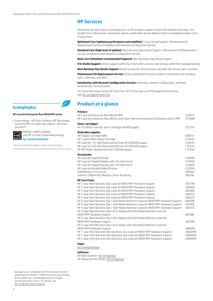### **HP Services**

Downtime can have serious consequences, so HP provides support beyond the standard warranty. You benefit from reduced risk, maximized uptime, predictable service delivery and no unbudgeted repair costs. Choose from:

**Optimized Care (optimum performance and stability):** 4 hour Onsite Support, Maintenance Kit Replacement Service, Installation with Network Configuration Service

**Standard Care (high level of uptime):** Next Business Day Onsite Support, Maintenance Kit Replacement Service, Installation with Network Configuration Service

**Basic Care (minimum recommended support):** Next Business Day Onsite Support

**4 hr Onsite Support:** Onsite support within four hours after a service call received within the coverage window

**Next Business Day Onsite Support:** Onsite service the next business day after the service call is received

**Maintenance Kit Replacement Service:** Onsite replacement of your printer's maintenance kit including parts, materials, and labor

**Installation with Network Configuration Service:** Assembly, network configuration, and basic administrator familiarization

For more information about HP Care Pack, HP Contractual, or HP Managed Print Services, visit [hp.com/go/printservices](http://hp.com/go/printservices)

**Product at a glance**

#### **Printers**

| HP Laser Jet Enterprise flow M830z MFP<br>HP LaserJet Enterprise flow M830z (with Near Field Communication & Wireless Direct) MFP                                                                                                                                                                                                                                                                                                                                                                                                                                                                                                         | CF367A<br>D7P68A                                                                                                                     |
|-------------------------------------------------------------------------------------------------------------------------------------------------------------------------------------------------------------------------------------------------------------------------------------------------------------------------------------------------------------------------------------------------------------------------------------------------------------------------------------------------------------------------------------------------------------------------------------------------------------------------------------------|--------------------------------------------------------------------------------------------------------------------------------------|
| Toner cartridges <sup>1</sup><br>HP 25X Black LaserJet Toner Cartridge (40,000 pages)                                                                                                                                                                                                                                                                                                                                                                                                                                                                                                                                                     | CF325X                                                                                                                               |
| <b>Orderable supplies</b><br>HP Stapler Cartridge Refill<br>HP 2-pack 2000-Staple Cartridge<br>HP LaserJet 110-Volt Maintenance/Fuser Kit (200,000 pages)<br>HP LaserJet 220-Volt Maintenance/Fuser Kit (200,000 pages)<br>HP ADF Roller Replacement Kit (100,000 pages)                                                                                                                                                                                                                                                                                                                                                                  | C8091A<br>CC383A<br><b>C2H67A</b><br><b>C2H57A</b><br>C1P70A                                                                         |
| Accessories<br>HP Laser Jet Stapler/Stacker<br>HP LaserJet Stapler/Stacker with 2/3 Hole Punch<br>HP LaserJet Stapler/Stacker with 2/4 Hole Punch<br>HP Laser Jet Booklet Maker/Finisher<br><b>USB Wireless Print Server</b><br>JetDirect 2800w NFC/Wireless Direct Accessory                                                                                                                                                                                                                                                                                                                                                             | CZ994A<br>CZ995A<br>CZ996A<br>CZ285A<br>J8026A<br>J8029A                                                                             |
| <b>HP Care Packs</b><br>HP 2-year Next Business Day LaserJet M830 MFP Hardware Support<br>HP 3-year Next Business Day LaserJet M830 MFP Hardware Support<br>HP 3-year Next Business Day LaserJet M830 MFP Hardware Support<br>HP 4-year Next Business Day LaserJet M830 MFP Hardware Support<br>HP 5-year Next Business Day LaserJet M830 MFP Hardware Support<br>HP 3-year Next Business Day + Disk Media Retention LaserJet M830 MFP Hardware Support<br>HP 4-year Next Business Day + Disk Media Retention LaserJet M830 MFP Hardware Support<br>HP 5-year Next Business Day + Disk Media Retention LaserJet M830 MFP Hardware Support | <b>U8C79E</b><br><b>U8C80A</b><br><b>U8C80E</b><br><b>U8C81E</b><br><b>U8C82E</b><br><b>U8C89E</b><br><b>U8C90E</b><br><b>U8C91E</b> |
| HP 3-year Next Business Day Call to Repair with Disk Media Retention LaserJet<br>M830 MFP Hardware Support<br>HP 4-year Next Business Day Call to Repair with Disk Media Retention LaserJet<br>M830 MFP Hardware Support                                                                                                                                                                                                                                                                                                                                                                                                                  | <b>U8C98E</b><br><b>U8C99E</b>                                                                                                       |
| HP 5-year Next Business Day Call to Repair with Disk Media Retention LaserJet<br>M830 MFP Hardware Support<br>HP 1-year Post Warranty Next Business Day LaserJet M830 MFP Hardware Support<br>HP 1-year Post Warranty Next Business Day LaserJet M830 MFP Hardware Support<br>HP 2-year Post Warranty Next Business Day Laser Jet M830 MFP Hardware Support                                                                                                                                                                                                                                                                               | U8D00E<br>U8D04PA<br>U8D04PE<br>U8D05PE                                                                                              |
|                                                                                                                                                                                                                                                                                                                                                                                                                                                                                                                                                                                                                                           |                                                                                                                                      |

#### **Paper**

[hp.com/apac/paper](http://hp.com/apac/paper)

#### **Software**

HP Web Jetadmin: [hp.com/go/wja](http://hp.com/go/wja)

HP Universal Print Driver: [hp.com/go/upd](http://hp.com/go/upd)

<sup>1</sup> Average colour composite (C/M/Y) and black declared yields based on ISO/IEC 19798 and continuous printing. Actual yields vary considerably based on images printed and other factors. For details, see [hp.com/go/learnaboutsupplies](http://hp.com/go/learnaboutsupplies)

## **EcoHighlights**

#### **HP LaserJet Enterprise flow M830 MFP series**

| • Save energy-HP Auto-On/Auto-Off Technology |
|----------------------------------------------|
| turns the MFP on when you need it-off when   |
| you don't.1                                  |



ENERGY STAR® qualified Join HP in more sustainable printing **[hp.com/ecosolutions](http://hp.com/ecosolutions)**

<sup>1</sup> HP Auto-On and Auto-Off capabilities subject to printer and settings.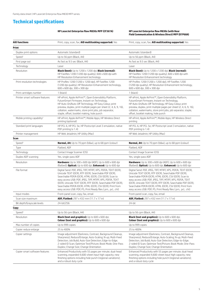## **Technical specifications**

**HP LaserJet Enterprise flow M830z MFP (CF367A) HP LaserJet Enterprise flow M830z (with Near Field Communication & Wireless Direct) MFP (D7P68A)**

| <b>AIO functions</b>                    | Print, copy, scan, fax; AiO multitasking supported: Yes                                                                                                                                                                                                                                                                                                                                                                                    | Print, copy, scan, fax; AiO multitasking supported: Yes                                                                                                                                                                                                                                                                                                                                                                                    |
|-----------------------------------------|--------------------------------------------------------------------------------------------------------------------------------------------------------------------------------------------------------------------------------------------------------------------------------------------------------------------------------------------------------------------------------------------------------------------------------------------|--------------------------------------------------------------------------------------------------------------------------------------------------------------------------------------------------------------------------------------------------------------------------------------------------------------------------------------------------------------------------------------------------------------------------------------------|
| Print                                   |                                                                                                                                                                                                                                                                                                                                                                                                                                            |                                                                                                                                                                                                                                                                                                                                                                                                                                            |
| Duplex print options                    | Automatic (standard)                                                                                                                                                                                                                                                                                                                                                                                                                       | Automatic (standard)                                                                                                                                                                                                                                                                                                                                                                                                                       |
| Speed <sup>1</sup>                      | Up to 56 ppm (Black, A4)                                                                                                                                                                                                                                                                                                                                                                                                                   | Up to 56 ppm (Black, A4)                                                                                                                                                                                                                                                                                                                                                                                                                   |
| First page out                          | As fast as 9.5 sec (Black, A4)                                                                                                                                                                                                                                                                                                                                                                                                             | As fast as 9.5 sec (Black, A4)                                                                                                                                                                                                                                                                                                                                                                                                             |
| Technology                              | Laser                                                                                                                                                                                                                                                                                                                                                                                                                                      | Laser                                                                                                                                                                                                                                                                                                                                                                                                                                      |
| Resolution                              | <b>Black (best):</b> Up to $1200 \times 1200$ dpi; <b>Black (normal):</b><br>HP FastRes 1200 (1200 dpi quality), 600 x 600 dpi with<br>HP Resolution Enhancement technology                                                                                                                                                                                                                                                                | <b>Black (best):</b> Up to $1200 \times 1200$ dpi; <b>Black (normal):</b><br>HP FastRes 1200 (1200 dpi quality), 600 x 600 dpi with<br>HP Resolution Enhancement technology                                                                                                                                                                                                                                                                |
| Print resolution technologies           | HP ProRes 1200 (1200 x 1200 dpi), HP FastRes 1200<br>(1200 dpi quality), HP Resolution Enhancement technology,<br>600 x 600 dpi, 300 x 300 dpi                                                                                                                                                                                                                                                                                             | HP ProRes 1200 (1200 x 1200 dpi), HP FastRes 1200<br>(1200 dpi quality), HP Resolution Enhancement technology,<br>600 x 600 dpi, 300 x 300 dpi                                                                                                                                                                                                                                                                                             |
| Print cartridges number                 | 1 (black)                                                                                                                                                                                                                                                                                                                                                                                                                                  | 1 (black)                                                                                                                                                                                                                                                                                                                                                                                                                                  |
| Printer smart software features         | HP ePrint, Apple AirPrint™, Open Extensibility Platform,<br>FutureSmart Firmware, Instant-on Technology,<br>HP Auto-On/Auto-Off Technology, HP Easy Colour, print<br>preview, duplex, print multiple pages per sheet (2, 4, 6, 9, 16),<br>collation, watermarks, store print jobs, job separator,<br>staple, offset, booklet making, hole punch                                                                                            | HP ePrint, Apple AirPrint™, Open Extensibility Platform,<br>FutureSmart Firmware, Instant-on Technology,<br>HP Auto-On/Auto-Off Technology, HP Easy Colour, print<br>preview, duplex, print multiple pages per sheet (2, 4, 6, 9, 16),<br>collation, watermarks, store print jobs, job separator, staple,<br>offset, booklet making, hole punch                                                                                            |
| Mobile printing capability <sup>2</sup> | HP ePrint; Apple AirPrint™; Mobile Apps; HP Wireless Direct<br>printing (optional)                                                                                                                                                                                                                                                                                                                                                         | HP ePrint; Apple AirPrint™; Mobile Apps; HP Wireless Direct<br>printing                                                                                                                                                                                                                                                                                                                                                                    |
| Standard print languages                | HP PCL 6, HP PCL 5e, HP Postscript Level 3 emulation, native<br>PDF printing (v 1.4)                                                                                                                                                                                                                                                                                                                                                       | HP PCL 6, HP PCL 5e, HP Postscript Level 3 emulation, native<br>PDF printing (v 1.4)                                                                                                                                                                                                                                                                                                                                                       |
| Printer management                      | HP Web Jetadmin; HP Utility (Mac)                                                                                                                                                                                                                                                                                                                                                                                                          | HP Web Jetadmin; HP Utility (Mac)                                                                                                                                                                                                                                                                                                                                                                                                          |
| Scan                                    |                                                                                                                                                                                                                                                                                                                                                                                                                                            |                                                                                                                                                                                                                                                                                                                                                                                                                                            |
| Speed <sup>3</sup>                      | Normal, A4: Up to 70 ppm (b&w), up to 68 ppm (colour)                                                                                                                                                                                                                                                                                                                                                                                      | <b>Normal, A4:</b> Up to 70 ppm (b&w), up to 68 ppm (colour)                                                                                                                                                                                                                                                                                                                                                                               |
| Type                                    | Flatbed, ADF                                                                                                                                                                                                                                                                                                                                                                                                                               | Flatbed, ADF                                                                                                                                                                                                                                                                                                                                                                                                                               |
| Technology                              | Contact Image Scanner (CIS)                                                                                                                                                                                                                                                                                                                                                                                                                | Contact Image Scanner (CIS)                                                                                                                                                                                                                                                                                                                                                                                                                |
| Duplex ADF scanning                     | Yes, single-pass ADF                                                                                                                                                                                                                                                                                                                                                                                                                       | Yes, single-pass ADF                                                                                                                                                                                                                                                                                                                                                                                                                       |
| Resolution                              | <b>Hardware:</b> Up to 300 $\times$ 600 dpi (ADF); Up to 600 $\times$ 600 dpi<br>(flatbed); Optical: Up to 600 dpi; Enhanced: Up to 600 dpi                                                                                                                                                                                                                                                                                                | <b>Hardware:</b> Up to 300 $\times$ 600 dpi (ADF); Up to 600 $\times$ 600 dpi<br>(flatbed); <b>Optical:</b> Up to 600 dpi; <b>Enhanced:</b> Up to 600 dpi                                                                                                                                                                                                                                                                                  |
| File format                             | Digital Send: PDF, JPEG, TIFF, MTIFF, XPS, PDF/A, TEXT (OCR),<br>Unicode TEXT (OCR), RTF (OCR), Searchable PDF (OCR),<br>Searchable PDF/A (OCR), HTML (OCR), CSV (OCR); Scan to<br>easy access USB: PDF, JPEG, TIFF, MTIFF, XPS, PDF/A, TEXT<br>(OCR), Unicode TEXT (OCR), RTF (OCR), Searchable PDF (OCR),<br>Searchable PDF/A (OCR), HTML (OCR), CSV (OCR); Print from<br>easy access USB: PDF, PS, Print Ready files (.prn, .pcl, .cht) | Digital Send: PDF, JPEG, TIFF, MTIFF, XPS, PDF/A, TEXT (OCR),<br>Unicode TEXT (OCR), RTF (OCR), Searchable PDF (OCR),<br>Searchable PDF/A (OCR), HTML (OCR), CSV (OCR); Scan to<br>easy access USB: PDF, JPEG, TIFF, MTIFF, XPS, PDF/A, TEXT<br>(OCR), Unicode TEXT (OCR), RTF (OCR), Searchable PDF (OCR),<br>Searchable PDF/A (OCR), HTML (OCR), CSV (OCR); Print from<br>easy access USB: PDF, PS, Print Ready files (.prn, .pcl, .cht) |
| Input modes                             | Front-panel scan, copy, fax, email                                                                                                                                                                                                                                                                                                                                                                                                         | Front-panel scan, copy, fax, email                                                                                                                                                                                                                                                                                                                                                                                                         |
| Scan size maximum                       | <b>ADF. Flatbed:</b> 297 x 432 mm (11.7 x 17 in)                                                                                                                                                                                                                                                                                                                                                                                           | <b>ADF, Flatbed:</b> 297 x 432 mm (11.7 x 17 in)                                                                                                                                                                                                                                                                                                                                                                                           |
| Bit depth/Grayscale levels              | 24-bit/256                                                                                                                                                                                                                                                                                                                                                                                                                                 | 24-bit                                                                                                                                                                                                                                                                                                                                                                                                                                     |
| Copy                                    |                                                                                                                                                                                                                                                                                                                                                                                                                                            |                                                                                                                                                                                                                                                                                                                                                                                                                                            |
| Speed <sup>4</sup>                      | Up to 56 cpm (Black, A4)                                                                                                                                                                                                                                                                                                                                                                                                                   | Up to 56 cpm (Black, A4)                                                                                                                                                                                                                                                                                                                                                                                                                   |
| Resolution                              | <b>Black (text and graphics):</b> Up to $600 \times 600$ dpi;<br><b>Colour (text and graphics):</b> Up to $600 \times 600$ dpi                                                                                                                                                                                                                                                                                                             | <b>Black (text and graphics):</b> Up to $600 \times 600$ dpi;<br><b>Colour (text and graphics):</b> Up to 600 x 600 dpi                                                                                                                                                                                                                                                                                                                    |
| Max number of copies                    | Up to 999 copies                                                                                                                                                                                                                                                                                                                                                                                                                           | Up to 999 copies                                                                                                                                                                                                                                                                                                                                                                                                                           |
| Copier reduce enlarge                   | 25 to 400%                                                                                                                                                                                                                                                                                                                                                                                                                                 | 25 to 400%                                                                                                                                                                                                                                                                                                                                                                                                                                 |
| Copier settings                         | Image adjustment (Darkness, Contrast, Background Cleanup,<br>Sharpness); Reduce/Enlarge; Auto-Scaling; N-up; Multi-Feed<br>Detection; Job Build; Auto-Size Detection; Edge-to-Edge;<br>2-sided ID Scan; Optimize Text/Picture; Book Mode; One-Pass<br>Duplex; Change Size; Change Orientation                                                                                                                                              | Image adjustment (Darkness, Contrast, Background Cleanup,<br>Sharpness); Reduce/Enlarge; Auto-Scaling; N-up; Multi-Feed<br>Detection; Job Build; Auto-Size Detection; Edge-to-Edge;<br>2-sided ID Scan; Optimize Text/Picture; Book Mode; One-Pass<br>Duplex; Change Size; Change Orientation                                                                                                                                              |
| Copier smart software features          | Enhanced Productivity with 55 pages per minute; dual-head<br>scanning, expanded 4,600-sheet input high capacity; new<br>finishing options including hole punch (regional variations);<br>and a robust duty cycle                                                                                                                                                                                                                           | Enhanced Productivity with 55 pages per minute; dual-head<br>scanning, expanded 4,600-sheet input high capacity; new<br>finishing options including hole punch (regional variations);<br>and a robust duty cycle                                                                                                                                                                                                                           |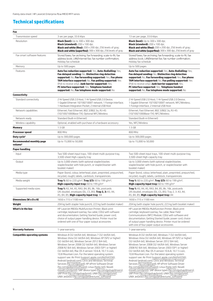## **Technical specifications**

| Fax                                                    |                                                                                                                                                                                                                                                                                                                                                                                                                                                                                                                                                                                                                                                                                                                                                                                                                        |                                                                                                                                                                                                                                                                                                                                                                                                                                                                                                                                                                                                                                                                                                                                                                                                                        |
|--------------------------------------------------------|------------------------------------------------------------------------------------------------------------------------------------------------------------------------------------------------------------------------------------------------------------------------------------------------------------------------------------------------------------------------------------------------------------------------------------------------------------------------------------------------------------------------------------------------------------------------------------------------------------------------------------------------------------------------------------------------------------------------------------------------------------------------------------------------------------------------|------------------------------------------------------------------------------------------------------------------------------------------------------------------------------------------------------------------------------------------------------------------------------------------------------------------------------------------------------------------------------------------------------------------------------------------------------------------------------------------------------------------------------------------------------------------------------------------------------------------------------------------------------------------------------------------------------------------------------------------------------------------------------------------------------------------------|
| Transmission speed                                     | 3 sec per page, 33.6 kbps                                                                                                                                                                                                                                                                                                                                                                                                                                                                                                                                                                                                                                                                                                                                                                                              | 13 sec per page, 33.6 kbps                                                                                                                                                                                                                                                                                                                                                                                                                                                                                                                                                                                                                                                                                                                                                                                             |
| Resolution                                             | <b>Black (best):</b> Up to $300 \times 300$ dpi;<br><b>Black (standard):</b> $200 \times 100$ dpi;<br><b>Black and white (fine):</b> $200 \times 200$ dpi, 256 levels of gray;<br><b>Black and white (superfine):</b> 300 x 300 dpi, 256 levels of gray                                                                                                                                                                                                                                                                                                                                                                                                                                                                                                                                                                | <b>Black (best):</b> Up to $300 \times 300$ dpi;<br><b>Black (standard):</b> $200 \times 100$ dpi;<br><b>Black and white (fine):</b> $200 \times 200$ dpi, 256 levels of gray;<br><b>Black and white (superfine):</b> $300 \times 300$ dpi, 256 levels of gray                                                                                                                                                                                                                                                                                                                                                                                                                                                                                                                                                         |
| Fax smart software features                            | Stored faxes; fax archiving; fax forwarding; scale-to-fit; fax<br>address book; LAN/Internet fax; fax number confirmation;<br>Holiday fax schedule                                                                                                                                                                                                                                                                                                                                                                                                                                                                                                                                                                                                                                                                     | Stored faxes; fax archiving; fax forwarding; scale-to-fit; fax<br>address book; LAN/Internet fax; fax number confirmation;<br>Holiday fax schedule                                                                                                                                                                                                                                                                                                                                                                                                                                                                                                                                                                                                                                                                     |
| Memory                                                 | Up to 500 pages                                                                                                                                                                                                                                                                                                                                                                                                                                                                                                                                                                                                                                                                                                                                                                                                        | Up to 500 pages                                                                                                                                                                                                                                                                                                                                                                                                                                                                                                                                                                                                                                                                                                                                                                                                        |
| Features                                               | Auto fax reduction supported: Yes; Auto-Redialling: Yes;<br>Fax delayed sending: No: Distinctive ring detection<br>supported: No; Fax forwarding supported: Yes; Fax phone<br>TAM interface supported: No; Fax polling supported: Yes<br>(Poll to receive only); Junk barrier supported: Yes;<br>PC interface supported: Yes; Telephone handset<br>supported: No; Fax telephone mode supported: No                                                                                                                                                                                                                                                                                                                                                                                                                     | Auto fax reduction supported: Yes; Auto-Redialling: Yes;<br>Fax delayed sending: No; Distinctive ring detection<br>supported: No; Fax forwarding supported: Yes; Fax phone<br>TAM interface supported: No; Fax polling supported: Yes<br>(Poll to receive only); Junk barrier supported: Yes;<br>PC interface supported: Yes; Telephone handset<br>supported: No; Fax telephone mode supported: No                                                                                                                                                                                                                                                                                                                                                                                                                     |
| Connectivity                                           |                                                                                                                                                                                                                                                                                                                                                                                                                                                                                                                                                                                                                                                                                                                                                                                                                        |                                                                                                                                                                                                                                                                                                                                                                                                                                                                                                                                                                                                                                                                                                                                                                                                                        |
| Standard connectivity                                  | 2 Hi-Speed USB 2.0 Host; 1 Hi-Speed USB 2.0 Device;<br>1 Gigabit Ethernet 10/100/1000T network; 1 Foreign Interface;<br>1 Hardware Integration Pocket; 2 Internal USB Host                                                                                                                                                                                                                                                                                                                                                                                                                                                                                                                                                                                                                                             | 2 Hi-Speed USB 2.0 Host; 1 Hi-Speed USB 2.0 Device;<br>1 Gigabit Ethernet 10/100/1000T network; NFC/Wireless;<br>1 Foreign Interface; 2 Internal USB Host                                                                                                                                                                                                                                                                                                                                                                                                                                                                                                                                                                                                                                                              |
| Network capabilities                                   | Ethernet; Fast Ethernet; 802.3/802.3u; RJ-45<br>(10/100/1000Base-TX); Optional NFC/Wireless                                                                                                                                                                                                                                                                                                                                                                                                                                                                                                                                                                                                                                                                                                                            | Ethernet; Fast Ethernet; 802.3/802.3u; RJ-45<br>(10/100/1000Base-TX): NFC/Wireless                                                                                                                                                                                                                                                                                                                                                                                                                                                                                                                                                                                                                                                                                                                                     |
| Network ready                                          | Standard (built-in Ethernet)                                                                                                                                                                                                                                                                                                                                                                                                                                                                                                                                                                                                                                                                                                                                                                                           | Standard (built-in Ethernet)                                                                                                                                                                                                                                                                                                                                                                                                                                                                                                                                                                                                                                                                                                                                                                                           |
| Wireless capability                                    | Optional, enabled with purchase of a hardware accessory                                                                                                                                                                                                                                                                                                                                                                                                                                                                                                                                                                                                                                                                                                                                                                | Yes, NFC/Wireless                                                                                                                                                                                                                                                                                                                                                                                                                                                                                                                                                                                                                                                                                                                                                                                                      |
| Memory                                                 | 1.5 <sub>GB</sub>                                                                                                                                                                                                                                                                                                                                                                                                                                                                                                                                                                                                                                                                                                                                                                                                      | 1.5 <sub>GB</sub>                                                                                                                                                                                                                                                                                                                                                                                                                                                                                                                                                                                                                                                                                                                                                                                                      |
| <b>Processor speed</b>                                 | 800 MHz                                                                                                                                                                                                                                                                                                                                                                                                                                                                                                                                                                                                                                                                                                                                                                                                                | 800 MHz                                                                                                                                                                                                                                                                                                                                                                                                                                                                                                                                                                                                                                                                                                                                                                                                                |
| Duty cycle <sup>5</sup>                                | Up to 300,000 pages                                                                                                                                                                                                                                                                                                                                                                                                                                                                                                                                                                                                                                                                                                                                                                                                    | Up to 300,000 pages                                                                                                                                                                                                                                                                                                                                                                                                                                                                                                                                                                                                                                                                                                                                                                                                    |
| <b>Recommended monthly page</b><br>volume <sup>6</sup> | Up to 15,000 to 50,000                                                                                                                                                                                                                                                                                                                                                                                                                                                                                                                                                                                                                                                                                                                                                                                                 | Up to 15,000 to 50,000                                                                                                                                                                                                                                                                                                                                                                                                                                                                                                                                                                                                                                                                                                                                                                                                 |
| Paper handling                                         |                                                                                                                                                                                                                                                                                                                                                                                                                                                                                                                                                                                                                                                                                                                                                                                                                        |                                                                                                                                                                                                                                                                                                                                                                                                                                                                                                                                                                                                                                                                                                                                                                                                                        |
| Input                                                  | Two 500-sheet input trays, 100-sheet multi-purpose tray,<br>3,500-sheet High-capacity tray                                                                                                                                                                                                                                                                                                                                                                                                                                                                                                                                                                                                                                                                                                                             | Two 500-sheet input trays, 100-sheet multi-purpose tray,<br>3,500-sheet High-capacity tray                                                                                                                                                                                                                                                                                                                                                                                                                                                                                                                                                                                                                                                                                                                             |
| Output                                                 | Up to 3,000 sheets (with optional stapler/stacker,<br>stapler/stacker with hole punch, or stapler/stacker with<br>booklet maker)                                                                                                                                                                                                                                                                                                                                                                                                                                                                                                                                                                                                                                                                                       | Up to 3,000 sheets (with optional stapler/stacker,<br>stapler/stacker with hole punch, or stapler/stacker with<br>hooklet maker)                                                                                                                                                                                                                                                                                                                                                                                                                                                                                                                                                                                                                                                                                       |
| Media type                                             | Paper (bond, colour, letterhead, plain, preprinted, prepunched,<br>recycled, rough), labels, cardstock, transparencies                                                                                                                                                                                                                                                                                                                                                                                                                                                                                                                                                                                                                                                                                                 | Paper (bond, colour, letterhead, plain, preprinted, prepunched,<br>recycled, rough), labels, cardstock, transparencies                                                                                                                                                                                                                                                                                                                                                                                                                                                                                                                                                                                                                                                                                                 |
| Media weight                                           | Tray 1: 60 to 220 g/m <sup>2</sup> ; Tray 2/3: 60 to 199 g/m <sup>2</sup> ;<br>High-capacity Input tray: 60 to 199 g/m <sup>2</sup>                                                                                                                                                                                                                                                                                                                                                                                                                                                                                                                                                                                                                                                                                    | <b>Tray 1:</b> 60 to 220 g/m <sup>2</sup> ; <b>Tray 2/3:</b> 60 to 199 g/m <sup>2</sup> ;<br>High-capacity Input tray: 60 to 199 g/m <sup>2</sup>                                                                                                                                                                                                                                                                                                                                                                                                                                                                                                                                                                                                                                                                      |
| Supported media sizes                                  | <b>Tray 1:</b> A3, A4, A5, RA3, B4, B5, 8k, 16k, postcards<br>(JIS double), envelopes (DL, C5, B5); $\text{Tray 2, 3: }$ A3, A4,<br>A5, B4, B5; High-capacity Input tray: A4                                                                                                                                                                                                                                                                                                                                                                                                                                                                                                                                                                                                                                           | <b>Tray 1:</b> A3, A4, A5, RA3, B4, B5, 8k, 16k, postcards<br>(JIS double), envelopes (DL, C5, B5); Tray 2, 3: A3, A4,<br>A5, B4, B5; High-capacity Input tray: A4                                                                                                                                                                                                                                                                                                                                                                                                                                                                                                                                                                                                                                                     |
| Dimensions (W x D x H)                                 | 1650 x 715 x 1100 mm                                                                                                                                                                                                                                                                                                                                                                                                                                                                                                                                                                                                                                                                                                                                                                                                   | 1650 x 715 x 1100 mm                                                                                                                                                                                                                                                                                                                                                                                                                                                                                                                                                                                                                                                                                                                                                                                                   |
| Weight                                                 | 204 kg (with stapler hole punch), 223 kg (with booklet maker)                                                                                                                                                                                                                                                                                                                                                                                                                                                                                                                                                                                                                                                                                                                                                          | 204 kg (with stapler hole punch), 223 kg (with booklet maker)                                                                                                                                                                                                                                                                                                                                                                                                                                                                                                                                                                                                                                                                                                                                                          |
| What's in the box                                      | HP LaserJet M830x Multifunction Printer; Black print<br>cartridge; keyboard overlay; fax cable; CD(s) with software<br>and documentation; Getting Started Guide; power cord;<br>choice of output paper handling device. Printer must be<br>ordered with one of four paper output accessories                                                                                                                                                                                                                                                                                                                                                                                                                                                                                                                           | HP LaserJet M830x Multifunction Printer; Black print<br>cartridge; keyboard overlay; fax cable; Near Field<br>Communications (NFC) Module; CD(s) with software and<br>documentation; Getting Started Guide; power cord; choice<br>of output paper handling device. Printer must be ordered<br>with one of four paper output accessories                                                                                                                                                                                                                                                                                                                                                                                                                                                                                |
| <b>Warranty features</b>                               | 1-year warranty                                                                                                                                                                                                                                                                                                                                                                                                                                                                                                                                                                                                                                                                                                                                                                                                        | 1-year warranty                                                                                                                                                                                                                                                                                                                                                                                                                                                                                                                                                                                                                                                                                                                                                                                                        |
| <b>Compatible operating systems</b>                    | Windows 8 (32-bit/64-bit), Windows 7 (32-bit/64-bit),<br>Windows Vista (32-bit/64-bit), Windows XP (SP2 or higher)<br>(32-bit/64-bit), Windows Server 2012 (64-bit),<br>Windows Server 2008 (32-bit/64-bit), Windows Server<br>2008 R2 (64-bit), Windows Server 2003 (SP1 or higher)<br>(32-bit/64-bit), Mac OS X version 10.6.8, 10.7.5 Lion,<br>10.8 Mountain Lion. For the latest operating system<br>support see: Air Print (support.apple.com/kb/ht4356);<br>Android (android.com); Citrix and Windows Terminal<br>Services (hp.com/go/upd); HP ePrint Software Driver<br>(hp.com/go/eprintsoftware); Linux (hplip.net); Novell<br>(novell.com/iprint); SAP device types (hp.com/go/sap/drivers);<br>SAP Print (hp.com/go/sap/print); UNIX (hp.com/go/unix);<br>UNIX JetDirect (hp.com/go/jetdirectunix_software) | Windows 8 (32-bit/64-bit), Windows 7 (32-bit/64-bit),<br>Windows Vista (32-bit/64-bit), Windows XP (SP2 or higher)<br>(32-bit/64-bit), Windows Server 2012 (64-bit),<br>Windows Server 2008 (32-bit/64-bit), Windows Server<br>2008 R2 (64-bit), Windows Server 2003 (SP1 or higher)<br>(32-bit/64-bit), Mac OS X version 10.6.8, 10.7.5 Lion,<br>10.8 Mountain Lion. For the latest operating system<br>support see: Air Print (support.apple.com/kb/ht4356);<br>Android (android.com); Citrix and Windows Terminal<br>Services (hp.com/go/upd); HP ePrint Software Driver<br>(hp.com/go/eprintsoftware); Linux (hplip.net); Novell<br>(novell.com/iprint); SAP device types (hp.com/go/sap/drivers);<br>SAP Print (hp.com/go/sap/print); UNIX (hp.com/go/unix);<br>UNIX JetDirect (hp.com/go/jetdirectunix_software) |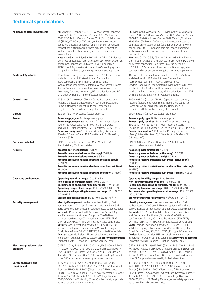## **Technical specifications**

| <b>Minimum system requirements</b>          | <b>PC:</b> Windows 8; Windows 7 SP1+; Windows Vista; Windows<br>Server 2003 (SP1+): Windows Server 2008: Windows Server<br>2008 R2 (64-bit): Windows Server 2012 (64-bit): Windows<br>XP (SP2+); CD-ROM or DVD drive, or Internet connection;<br>dedicated universal serial bus (USB 1.1 or 2.0), or network<br>connection; 200 MB available hard disk space; operating<br>system compatible hardware system requirements see<br>microsoft.com<br><b>Mac:</b> Mac OS X v10.6.8, OS X 10.7.5 Lion, OS X 10.8 Mountain<br>Lion; 1 GB of available hard-disk space; CD-ROM or DVD drive,<br>or Internet connection: Dedicated universal serial bus<br>(USB 1.1 or 2.0), or network connection (Operating system<br>compatible hardware system requirements see apple.com)                                                                | <b>PC:</b> Windows 8; Windows 7 SP1+; Windows Vista; Windows<br>Server 2003 (SP1+); Windows Server 2008; Windows Server<br>2008 R2 (64-bit); Windows Server 2012 (64-bit); Windows<br>XP (SP2+); CD-ROM or DVD drive, or Internet connection;<br>dedicated universal serial bus (USB 1.1 or 2.0), or network<br>connection; 200 MB available hard disk space; operating<br>system compatible hardware system requirements see<br>microsoft.com<br>Mac: Mac OS X v10.6.8, OS X 10.7.5 Lion, OS X 10.8 Mountain<br>Lion; 1 GB of available hard-disk space; CD-ROM or DVD drive,<br>or Internet connection; Dedicated universal serial bus<br>(USB 1.1 or 2.0), or network connection (Operating system<br>compatible hardware system requirements see apple.com)                                                                              |
|---------------------------------------------|---------------------------------------------------------------------------------------------------------------------------------------------------------------------------------------------------------------------------------------------------------------------------------------------------------------------------------------------------------------------------------------------------------------------------------------------------------------------------------------------------------------------------------------------------------------------------------------------------------------------------------------------------------------------------------------------------------------------------------------------------------------------------------------------------------------------------------------|----------------------------------------------------------------------------------------------------------------------------------------------------------------------------------------------------------------------------------------------------------------------------------------------------------------------------------------------------------------------------------------------------------------------------------------------------------------------------------------------------------------------------------------------------------------------------------------------------------------------------------------------------------------------------------------------------------------------------------------------------------------------------------------------------------------------------------------------|
| <b>Fonts and Typefaces</b>                  | 105 internal TrueType fonts scalable in HP PCL; 92 internal<br>scalable fonts in HP Postscript Level 3 emulation<br>(Euro symbol built-in); 1 internal Unicode Fonts<br>(Andale Mono WorldType); 2 Internal Windows Vista 8 Fonts<br>(Calibri, Cambria); additional font solutions available via<br>third-party flash memory cards; HP LaserJet Fonts and IPDS<br>Emulation available at hp.com/go/laserjetfonts                                                                                                                                                                                                                                                                                                                                                                                                                      | 105 internal TrueType fonts scalable in HP PCL; 92 internal<br>scalable fonts in HP Postscript Level 3 emulation<br>(Euro symbol built-in); 1 internal Unicode Fonts<br>(Andale Mono WorldType); 2 Internal Windows Vista 8 Fonts<br>(Calibri, Cambria); additional font solutions available via<br>third-party flash memory cards; HP LaserJet Fonts and IPDS<br>Emulation available at hp.com/go/laserjetfonts                                                                                                                                                                                                                                                                                                                                                                                                                             |
| <b>Control panel</b>                        | 20.3 cm (8.0-in) colour LCD with Capacitive touchscreen;<br>rotating (adjustable angle) display; illuminated Capacitive<br>Home button (for quick return to the Home menu);<br>Easy Access USB; Hardware Integration Pocket                                                                                                                                                                                                                                                                                                                                                                                                                                                                                                                                                                                                           | 20.3 cm (8.0-in) colour LCD with Capacitive touchscreen;<br>rotating (adjustable angle) display; illuminated Capacitive<br>Home button (for quick return to the Home menu);<br>Easy Access USB; Hardware Integration Pocket                                                                                                                                                                                                                                                                                                                                                                                                                                                                                                                                                                                                                  |
| <b>Display</b>                              | 20.3 cm (8.0-in), SVGA LCD (colour graphics)                                                                                                                                                                                                                                                                                                                                                                                                                                                                                                                                                                                                                                                                                                                                                                                          | 20.3 cm (8.0-in), SVGA LCD (colour graphics)                                                                                                                                                                                                                                                                                                                                                                                                                                                                                                                                                                                                                                                                                                                                                                                                 |
| <b>Power</b>                                | <b>Power supply type:</b> Built-in power supply<br>Power supply required: Japan and Taiwan: Input Voltage:<br>100 to 127 VAC, 50/60 Hz, 11.0 A; Rest of the world<br>(including EU): Input Voltage: 220 to 240 VAC, 50/60 Hz, 5.5 A<br><b>Power consumption:</b> <sup>6</sup> 1030 watts (Printing), 60 watts<br>(Ready), 6.0 watts (Sleep 1), 2.5 watts (Auto On/Auto Off),<br>$0.3$ watts $(Off)$                                                                                                                                                                                                                                                                                                                                                                                                                                   | <b>Power supply type:</b> Built-in power supply<br>Power supply required: Japan and Taiwan: Input Voltage:<br>100 to 127 VAC, 50/60 Hz, 11.0 A; Rest of the world<br>(including EU): Input Voltage: 220 to 240 VAC, 50/60 Hz, 5.5 A<br><b>Power consumption:</b> <sup>6</sup> 1030 watts (Printing), 60 watts<br>(Ready), 6.0 watts (Sleep 1), 2.5 watts (Auto On/Auto Off),<br>$0.3$ watts (Off)                                                                                                                                                                                                                                                                                                                                                                                                                                            |
| Software included                           | HP PCL 6 Discrete Printer Driver, Mac SW Link to Web<br>(Mac Installer), Windows Installer                                                                                                                                                                                                                                                                                                                                                                                                                                                                                                                                                                                                                                                                                                                                            | HP PCL 6 Discrete Printer Driver, Mac SW Link to Web<br>(Mac Installer), Windows Installer                                                                                                                                                                                                                                                                                                                                                                                                                                                                                                                                                                                                                                                                                                                                                   |
| Acoustic <sup>7</sup>                       | <b>Acoustic power emissions:</b> 7.5 B(A)<br><b>Acoustic power emissions (active copy):</b> 7.6 B(A)<br><b>Acoustic power emissions (ready):</b> 5.3 B(A)<br>Acoustic pressure emissions bystander (active copy):<br>59 dB(A)<br>Acoustic pressure emissions bystander (active, printing):<br>58 dB(A)<br><b>Acoustic pressure emissions bystander (ready):</b> 37 dB(A)                                                                                                                                                                                                                                                                                                                                                                                                                                                              | <b>Acoustic power emissions:</b> 7.5 B(A)<br><b>Acoustic power emissions (active copy):</b> $7.6 B(A)$<br><b>Acoustic power emissions (ready):</b> 5.3 B(A)<br>Acoustic pressure emissions bystander (active copy):<br>59 dB(A)<br>Acoustic pressure emissions bystander (active, printing):<br>58 dB(A)<br><b>Acoustic pressure emissions bystander (ready):</b> 37 dB(A)                                                                                                                                                                                                                                                                                                                                                                                                                                                                   |
| <b>Operating environment</b>                | <b>Operating humidity range: 10 to 80% RH</b><br>Non-operating humidity range: 10 to 90% RH<br>Recommended operating humidity range: 10 to 80% RH<br><b>Operating temperature range:</b> $10$ to $32.5^{\circ}$ C (50 to $91^{\circ}$ F)<br><b>Recommended operating temperature range:</b> 10 to 32.5°C<br>(50 to 91°F)<br><b>Storage temperature range:</b> 0 to 40 $^{\circ}$ C (32 to 104 $^{\circ}$ F)                                                                                                                                                                                                                                                                                                                                                                                                                           | Operating humidity range: 10 to 80% RH<br>Non-operating humidity range: 10 to 90% RH<br>Recommended operating humidity range: 10 to 80% RH<br><b>Operating temperature range:</b> $10$ to $32.5^{\circ}$ C (50 to $91^{\circ}$ F)<br><b>Recommended operating temperature range:</b> 10 to 32.5°C<br>(50 to 91 <sup>o</sup> F)<br><b>Storage temperature range:</b> 0 to 40 $^{\circ}$ C (32 to 104 $^{\circ}$ F)                                                                                                                                                                                                                                                                                                                                                                                                                            |
| <b>Security management</b>                  | Identity Management: Kerberos authentication, LDAP<br>authentication, 1000 user PIN codes, optional HP and 3rd<br>party advanced authentication solutions (e.g., badge readers);<br><b>Network:</b> IPSec/firewall with Certificate, Pre-Shared Key,<br>and Kerberos authentication, Supports WJA-10 IPsec<br>configuration Plug-in, 802.1X authentication (EAP-PEAP,<br>EAP-TLS), SNMPv3, HTTPS, Certificates, Access Control List;<br><b>Data:</b> Storage Encryption, Encrypted PDF (uses FIPS 140<br>validated cryptographic libraries from Microsoft), Encrypted<br>Email, Secure Erase, SSL/TLS (HTTPS), Encrypted Credentials<br><b>Device:</b> Security lock slot, USB port disablement, Hardware<br>Integration Pocket for security solutions; Security Management:<br>Compatible with HP Imaging & Printing Security Center | <b>Identity Management:</b> Kerberos authentication, LDAP<br>authentication, 1000 user PIN codes, optional HP and 3rd<br>party advanced authentication solutions (e.g., badge readers);<br><b>Network:</b> IPSec/firewall with Certificate, Pre-Shared Key,<br>and Kerberos authentication, Supports WJA-10 IPsec<br>configuration Plug-in, 802.1X authentication (EAP-PEAP,<br>EAP-TLS), SNMPv3, HTTPS, Certificates, Access Control List;<br><b>Data:</b> Storage Encryption, Encrypted PDF (uses FIPS 140<br>validated cryptographic libraries from Microsoft), Encrypted<br>Email, Secure Erase, SSL/TLS (HTTPS), Encrypted Credentials<br><b>Device:</b> Security lock slot, USB port disablement, Hardware<br>Integration Pocket for security solutions; Security Management:<br>Compatible with HP Imaging & Printing Security Center |
| <b>Electromagnetic emission</b><br>standard | CISPR 22:2008 / EN 55022:2010 (Class A); EN 61000-3-2:2006<br>+A1:2009 +A2:2009; EN 61000-3-3:2008; EN 55024:1998 +A1<br>+A2; FCC Title 47 CFR, Part 15 Class A (USA); ICES-003, Issue 4<br>(Canada); EMC Directive 2004/108/EC with CE Marking (Europe);<br>other EMC approvals as required by individual countries                                                                                                                                                                                                                                                                                                                                                                                                                                                                                                                  | CISPR 22:2008 / EN 55022:2010 (Class A); EN 61000-3-2 :2006<br>+A1:2009 +A2:2009; EN 61000-3-3:2008; EN 55024:1998 +A1<br>+A2; FCC Title 47 CFR, Part 15 Class A (USA); ICES-003, Issue 4<br>(Canada); EMC Directive 2004/108/EC with CE Marking (Europe);<br>other EMC approvals as required by individual countries                                                                                                                                                                                                                                                                                                                                                                                                                                                                                                                        |
| Safety approvals and<br>requirements        | IEC 60950-1:2005 +A1; EN60950-1:2006 +A11:2009<br>+A1:2010 +A12:2011; IEC 60825-1:2007 (Class 1 Laser/Led<br>Product); EN 60825-1:2007 (Class 1 Laser/LED Product);<br>UL/cUL Listed (USA/Canada); GS Certificate (Germany, Europe);<br>IEC 62479:2010; EN 62479:2010; Low Voltage Directive<br>2006/95/EC with CE Marking (Europe); other safety approvals<br>as required by individual countries                                                                                                                                                                                                                                                                                                                                                                                                                                    | IEC 60950-1:2005 +A1; EN60950-1:2006 +A11:2009<br>+A1:2010 +A12:2011; IEC 60825-1:2007 (Class 1 Laser/Led<br>Product); EN 60825-1:2007 (Class 1 Laser/LED Product);<br>UL/cUL Listed (USA/Canada); GS Certificate (Germany, Europe);<br>IEC 62479:2010; EN 62479:2010; Low Voltage Directive<br>2006/95/EC with CE Marking (Europe); other safety approvals<br>as required by individual countries                                                                                                                                                                                                                                                                                                                                                                                                                                           |